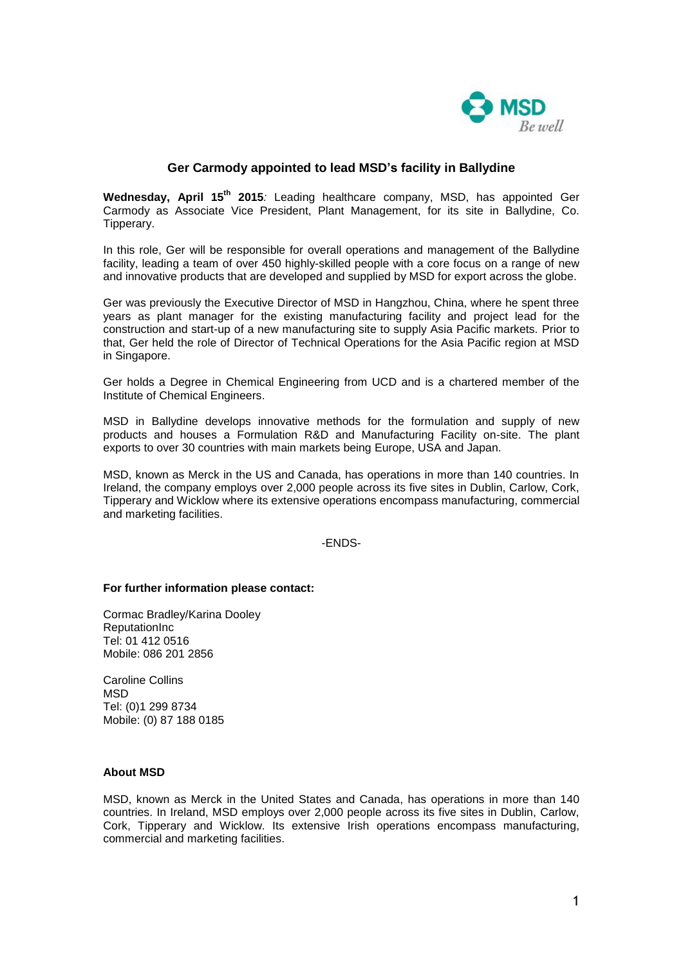

## **Ger Carmody appointed to lead MSD's facility in Ballydine**

**Wednesday, April 15th 2015***:* Leading healthcare company, MSD, has appointed Ger Carmody as Associate Vice President, Plant Management, for its site in Ballydine, Co. Tipperary.

In this role, Ger will be responsible for overall operations and management of the Ballydine facility, leading a team of over 450 highly-skilled people with a core focus on a range of new and innovative products that are developed and supplied by MSD for export across the globe.

Ger was previously the Executive Director of MSD in Hangzhou, China, where he spent three years as plant manager for the existing manufacturing facility and project lead for the construction and start-up of a new manufacturing site to supply Asia Pacific markets. Prior to that, Ger held the role of Director of Technical Operations for the Asia Pacific region at MSD in Singapore.

Ger holds a Degree in Chemical Engineering from UCD and is a chartered member of the Institute of Chemical Engineers.

MSD in Ballydine develops innovative methods for the formulation and supply of new products and houses a Formulation R&D and Manufacturing Facility on-site. The plant exports to over 30 countries with main markets being Europe, USA and Japan.

MSD, known as Merck in the US and Canada, has operations in more than 140 countries. In Ireland, the company employs over 2,000 people across its five sites in Dublin, Carlow, Cork, Tipperary and Wicklow where its extensive operations encompass manufacturing, commercial and marketing facilities.

## -ENDS-

## **For further information please contact:**

Cormac Bradley/Karina Dooley **ReputationInc** Tel: 01 412 0516 Mobile: 086 201 2856

Caroline Collins **MSD** Tel: (0)1 299 8734 Mobile: (0) 87 188 0185

## **About MSD**

MSD, known as Merck in the United States and Canada, has operations in more than 140 countries. In Ireland, MSD employs over 2,000 people across its five sites in Dublin, Carlow, Cork, Tipperary and Wicklow. Its extensive Irish operations encompass manufacturing, commercial and marketing facilities.